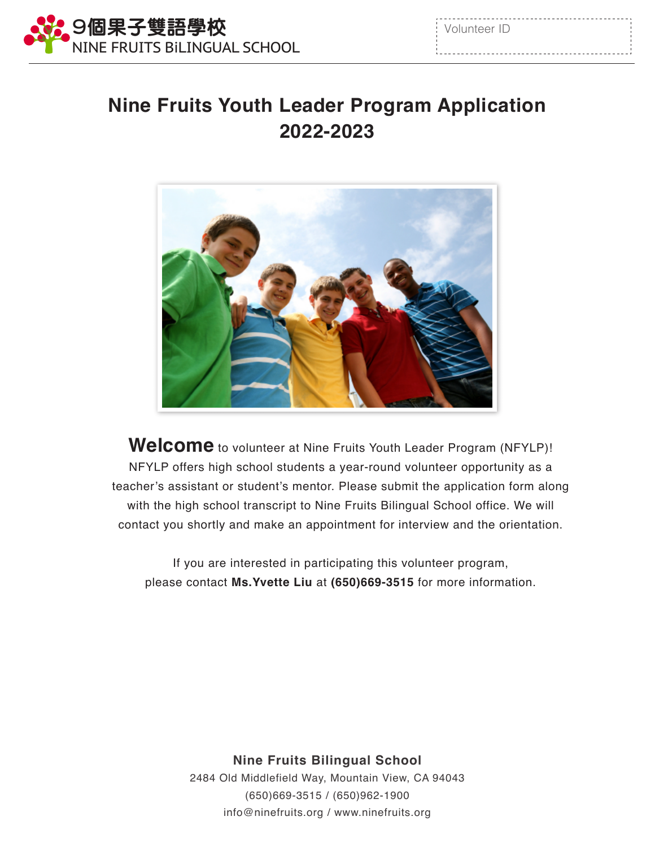

| Volunteer ID |  |
|--------------|--|
|              |  |

## **Nine Fruits Youth Leader Program Application 2022-2023**



**Welcome** to volunteer at Nine Fruits Youth Leader Program (NFYLP)! NFYLP offers high school students a year-round volunteer opportunity as a teacher's assistant or student's mentor. Please submit the application form along with the high school transcript to Nine Fruits Bilingual School office. We will contact you shortly and make an appointment for interview and the orientation.

If you are interested in participating this volunteer program, please contact **Ms.Yvette Liu** at **(650)669-3515** for more information.

> **Nine Fruits Bilingual School**  2484 Old Middlefield Way, Mountain View, CA 94043 (650)669-3515 / (650)962-1900 info@ninefruits.org / www.ninefruits.org